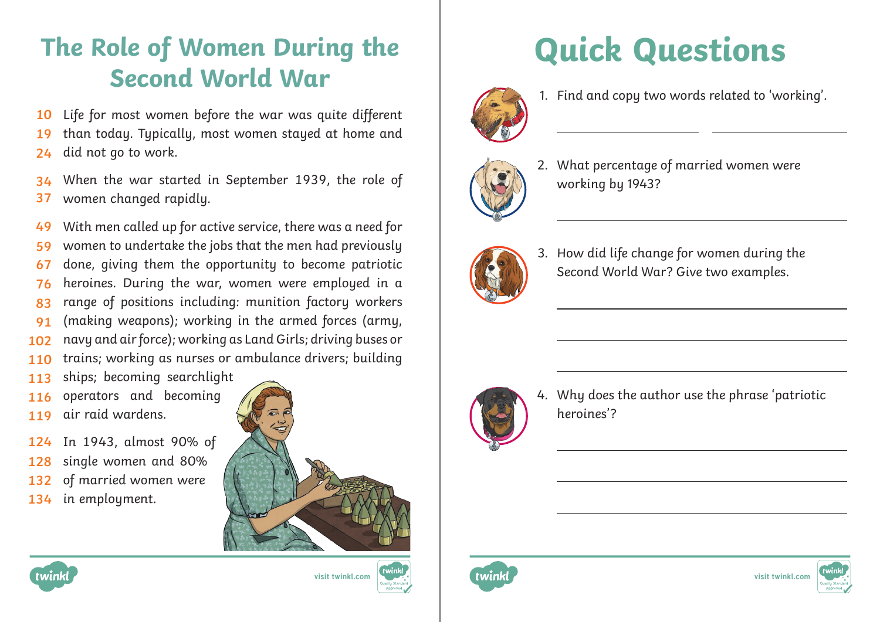## **The Role of Women During the Second World War**

Life for most women before the war was quite different **10**

than today. Typically, most women stayed at home and did not go to work. **19 24**

When the war started in September 1939, the role of women changed rapidly. **34 37**

With men called up for active service, there was a need for women to undertake the jobs that the men had previously done, giving them the opportunity to become patriotic heroines. During the war, women were employed in a range of positions including: munition factory workers (making weapons); working in the armed forces (army, navy and air force); working as Land Girls; driving buses or trains; working as nurses or ambulance drivers; building **49 59 67 76 83 91 102 110**

- ships; becoming searchlight **113**
- operators and becoming **116**
- air raid wardens. **119**
- In 1943, almost 90% of single women and 80% **124 128**
- of married women were **132**
- in employment. **134**







## **Quick Questions**



 $\overline{a}$ 

1. Find and copy two words related to 'working'.



2. What percentage of married women were working by 1943?



3. How did life change for women during the Second World War? Give two examples.



4. Why does the author use the phrase 'patriotic heroines'?